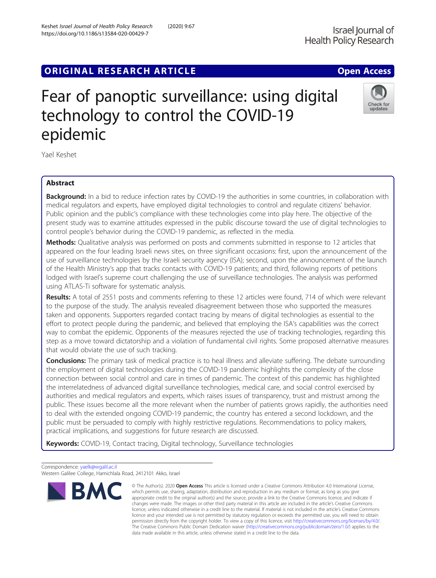# ORIGINAL RESEARCH ARTICLE **External of the Contract Contract Contract Contract Contract Contract Contract Contract Contract Contract Contract Contract Contract Contract Contract Contract Contract Contract Contract Contract**

# Fear of panoptic surveillance: using digital technology to control the COVID-19 epidemic

Yael Keshet

# Abstract

Background: In a bid to reduce infection rates by COVID-19 the authorities in some countries, in collaboration with medical regulators and experts, have employed digital technologies to control and regulate citizens' behavior. Public opinion and the public's compliance with these technologies come into play here. The objective of the present study was to examine attitudes expressed in the public discourse toward the use of digital technologies to control people's behavior during the COVID-19 pandemic, as reflected in the media.

Methods: Qualitative analysis was performed on posts and comments submitted in response to 12 articles that appeared on the four leading Israeli news sites, on three significant occasions: first, upon the announcement of the use of surveillance technologies by the Israeli security agency (ISA); second, upon the announcement of the launch of the Health Ministry's app that tracks contacts with COVID-19 patients; and third, following reports of petitions lodged with Israel's supreme court challenging the use of surveillance technologies. The analysis was performed using ATLAS-Ti software for systematic analysis.

Results: A total of 2551 posts and comments referring to these 12 articles were found, 714 of which were relevant to the purpose of the study. The analysis revealed disagreement between those who supported the measures taken and opponents. Supporters regarded contact tracing by means of digital technologies as essential to the effort to protect people during the pandemic, and believed that employing the ISA's capabilities was the correct way to combat the epidemic. Opponents of the measures rejected the use of tracking technologies, regarding this step as a move toward dictatorship and a violation of fundamental civil rights. Some proposed alternative measures that would obviate the use of such tracking.

**Conclusions:** The primary task of medical practice is to heal illness and alleviate suffering. The debate surrounding the employment of digital technologies during the COVID-19 pandemic highlights the complexity of the close connection between social control and care in times of pandemic. The context of this pandemic has highlighted the interrelatedness of advanced digital surveillance technologies, medical care, and social control exercised by authorities and medical regulators and experts, which raises issues of transparency, trust and mistrust among the public. These issues become all the more relevant when the number of patients grows rapidly, the authorities need to deal with the extended ongoing COVID-19 pandemic, the country has entered a second lockdown, and the public must be persuaded to comply with highly restrictive regulations. Recommendations to policy makers, practical implications, and suggestions for future research are discussed.

Keywords: COVID-19, Contact tracing, Digital technology, Surveillance technologies

Correspondence: [yaelk@wgalil.ac.il](mailto:yaelk@wgalil.ac.il)

**BMC** 

Western Galilee College, Hamichlala Road, 2412101 Akko, Israel

#### © The Author(s), 2020 **Open Access** This article is licensed under a Creative Commons Attribution 4.0 International License, which permits use, sharing, adaptation, distribution and reproduction in any medium or format, as long as you give appropriate credit to the original author(s) and the source, provide a link to the Creative Commons licence, and indicate if changes were made. The images or other third party material in this article are included in the article's Creative Commons licence, unless indicated otherwise in a credit line to the material. If material is not included in the article's Creative Commons licence and your intended use is not permitted by statutory regulation or exceeds the permitted use, you will need to obtain permission directly from the copyright holder. To view a copy of this licence, visit [http://creativecommons.org/licenses/by/4.0/.](http://creativecommons.org/licenses/by/4.0/) The Creative Commons Public Domain Dedication waiver [\(http://creativecommons.org/publicdomain/zero/1.0/](http://creativecommons.org/publicdomain/zero/1.0/)) applies to the data made available in this article, unless otherwise stated in a credit line to the data.

Keshet Israel Journal of Health Policy Research (2020) 9:67 https://doi.org/10.1186/s13584-020-00429-7





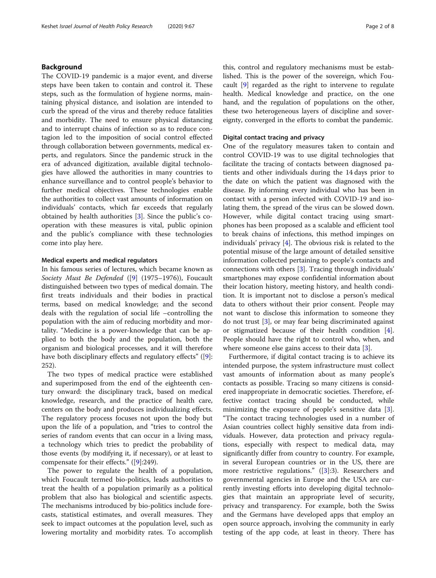# Background

The COVID-19 pandemic is a major event, and diverse steps have been taken to contain and control it. These steps, such as the formulation of hygiene norms, maintaining physical distance, and isolation are intended to curb the spread of the virus and thereby reduce fatalities and morbidity. The need to ensure physical distancing and to interrupt chains of infection so as to reduce contagion led to the imposition of social control effected through collaboration between governments, medical experts, and regulators. Since the pandemic struck in the era of advanced digitization, available digital technologies have allowed the authorities in many countries to enhance surveillance and to control people's behavior to further medical objectives. These technologies enable the authorities to collect vast amounts of information on individuals' contacts, which far exceeds that regularly obtained by health authorities [[3](#page-7-0)]. Since the public's cooperation with these measures is vital, public opinion and the public's compliance with these technologies come into play here.

### Medical experts and medical regulators

In his famous series of lectures, which became known as Society Must Be Defended ([\[9\]](#page-7-0) (1975–1976)), Foucault distinguished between two types of medical domain. The first treats individuals and their bodies in practical terms, based on medical knowledge; and the second deals with the regulation of social life –controlling the population with the aim of reducing morbidity and mortality. "Medicine is a power-knowledge that can be applied to both the body and the population, both the organism and biological processes, and it will therefore have both disciplinary effects and regulatory effects" ([\[9](#page-7-0)]: 252).

The two types of medical practice were established and superimposed from the end of the eighteenth century onward: the disciplinary track, based on medical knowledge, research, and the practice of health care, centers on the body and produces individualizing effects. The regulatory process focuses not upon the body but upon the life of a population, and "tries to control the series of random events that can occur in a living mass, a technology which tries to predict the probability of those events (by modifying it, if necessary), or at least to compensate for their effects."  $([9]:249)$  $([9]:249)$  $([9]:249)$ .

The power to regulate the health of a population, which Foucault termed bio-politics, leads authorities to treat the health of a population primarily as a political problem that also has biological and scientific aspects. The mechanisms introduced by bio-politics include forecasts, statistical estimates, and overall measures. They seek to impact outcomes at the population level, such as lowering mortality and morbidity rates. To accomplish

this, control and regulatory mechanisms must be established. This is the power of the sovereign, which Foucault [\[9](#page-7-0)] regarded as the right to intervene to regulate health. Medical knowledge and practice, on the one hand, and the regulation of populations on the other, these two heterogeneous layers of discipline and sovereignty, converged in the efforts to combat the pandemic.

## Digital contact tracing and privacy

One of the regulatory measures taken to contain and control COVID-19 was to use digital technologies that facilitate the tracing of contacts between diagnosed patients and other individuals during the 14 days prior to the date on which the patient was diagnosed with the disease. By informing every individual who has been in contact with a person infected with COVID-19 and isolating them, the spread of the virus can be slowed down. However, while digital contact tracing using smartphones has been proposed as a scalable and efficient tool to break chains of infections, this method impinges on individuals' privacy [\[4](#page-7-0)]. The obvious risk is related to the potential misuse of the large amount of detailed sensitive information collected pertaining to people's contacts and connections with others [\[3](#page-7-0)]. Tracing through individuals' smartphones may expose confidential information about their location history, meeting history, and health condition. It is important not to disclose a person's medical data to others without their prior consent. People may not want to disclose this information to someone they do not trust [\[3\]](#page-7-0), or may fear being discriminated against or stigmatized because of their health condition [\[4](#page-7-0)]. People should have the right to control who, when, and where someone else gains access to their data [\[3](#page-7-0)].

Furthermore, if digital contact tracing is to achieve its intended purpose, the system infrastructure must collect vast amounts of information about as many people's contacts as possible. Tracing so many citizens is considered inappropriate in democratic societies. Therefore, effective contact tracing should be conducted, while minimizing the exposure of people's sensitive data [\[3](#page-7-0)]. "The contact tracing technologies used in a number of Asian countries collect highly sensitive data from individuals. However, data protection and privacy regulations, especially with respect to medical data, may significantly differ from country to country. For example, in several European countries or in the US, there are more restrictive regulations." ([\[3](#page-7-0)]:3). Researchers and governmental agencies in Europe and the USA are currently investing efforts into developing digital technologies that maintain an appropriate level of security, privacy and transparency. For example, both the Swiss and the Germans have developed apps that employ an open source approach, involving the community in early testing of the app code, at least in theory. There has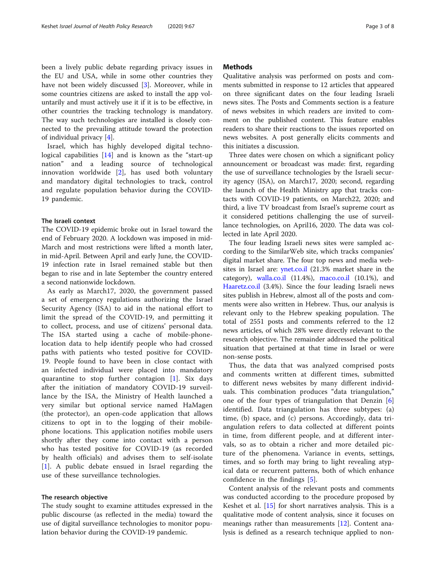been a lively public debate regarding privacy issues in the EU and USA, while in some other countries they have not been widely discussed [\[3](#page-7-0)]. Moreover, while in some countries citizens are asked to install the app voluntarily and must actively use it if it is to be effective, in other countries the tracking technology is mandatory. The way such technologies are installed is closely connected to the prevailing attitude toward the protection of individual privacy [\[4](#page-7-0)].

Israel, which has highly developed digital technological capabilities [[14](#page-7-0)] and is known as the "start-up nation" and a leading source of technological innovation worldwide [\[2](#page-7-0)], has used both voluntary and mandatory digital technologies to track, control and regulate population behavior during the COVID-19 pandemic.

#### The Israeli context

The COVID-19 epidemic broke out in Israel toward the end of February 2020. A lockdown was imposed in mid-March and most restrictions were lifted a month later, in mid-April. Between April and early June, the COVID-19 infection rate in Israel remained stable but then began to rise and in late September the country entered a second nationwide lockdown.

As early as March17, 2020, the government passed a set of emergency regulations authorizing the Israel Security Agency (ISA) to aid in the national effort to limit the spread of the COVID-19, and permitting it to collect, process, and use of citizens' personal data. The ISA started using a cache of mobile-phonelocation data to help identify people who had crossed paths with patients who tested positive for COVID-19. People found to have been in close contact with an infected individual were placed into mandatory quarantine to stop further contagion [[1\]](#page-7-0). Six days after the initiation of mandatory COVID-19 surveillance by the ISA, the Ministry of Health launched a very similar but optional service named HaMagen (the protector), an open-code application that allows citizens to opt in to the logging of their mobilephone locations. This application notifies mobile users shortly after they come into contact with a person who has tested positive for COVID-19 (as recorded by health officials) and advises them to self-isolate [[1\]](#page-7-0). A public debate ensued in Israel regarding the use of these surveillance technologies.

# The research objective

The study sought to examine attitudes expressed in the public discourse (as reflected in the media) toward the use of digital surveillance technologies to monitor population behavior during the COVID-19 pandemic.

# **Methods**

Qualitative analysis was performed on posts and comments submitted in response to 12 articles that appeared on three significant dates on the four leading Israeli news sites. The Posts and Comments section is a feature of news websites in which readers are invited to comment on the published content. This feature enables readers to share their reactions to the issues reported on news websites. A post generally elicits comments and this initiates a discussion.

Three dates were chosen on which a significant policy announcement or broadcast was made: first, regarding the use of surveillance technologies by the Israeli security agency (ISA), on March17, 2020; second, regarding the launch of the Health Ministry app that tracks contacts with COVID-19 patients, on March22, 2020; and third, a live TV broadcast from Israel's supreme court as it considered petitions challenging the use of surveillance technologies, on April16, 2020. The data was collected in late April 2020.

The four leading Israeli news sites were sampled according to the SimilarWeb site, which tracks companies' digital market share. The four top news and media websites in Israel are: [ynet.co.il](http://ynet.co.il) (21.3% market share in the category), [walla.co.il](http://walla.co.il) (11.4%), [maco.co.il](http://maco.co.il) (10.1%), and [Haaretz.co.il](http://haaretz.co.il) (3.4%). Since the four leading Israeli news sites publish in Hebrew, almost all of the posts and comments were also written in Hebrew. Thus, our analysis is relevant only to the Hebrew speaking population. The total of 2551 posts and comments referred to the 12 news articles, of which 28% were directly relevant to the research objective. The remainder addressed the political situation that pertained at that time in Israel or were non-sense posts.

Thus, the data that was analyzed comprised posts and comments written at different times, submitted to different news websites by many different individuals. This combination produces "data triangulation," one of the four types of triangulation that Denzin [\[6](#page-7-0)] identified. Data triangulation has three subtypes: (a) time, (b) space, and (c) persons. Accordingly, data triangulation refers to data collected at different points in time, from different people, and at different intervals, so as to obtain a richer and more detailed picture of the phenomena. Variance in events, settings, times, and so forth may bring to light revealing atypical data or recurrent patterns, both of which enhance confidence in the findings [\[5](#page-7-0)].

Content analysis of the relevant posts and comments was conducted according to the procedure proposed by Keshet et al. [[15](#page-7-0)] for short narratives analysis. This is a qualitative mode of content analysis, since it focuses on meanings rather than measurements [\[12](#page-7-0)]. Content analysis is defined as a research technique applied to non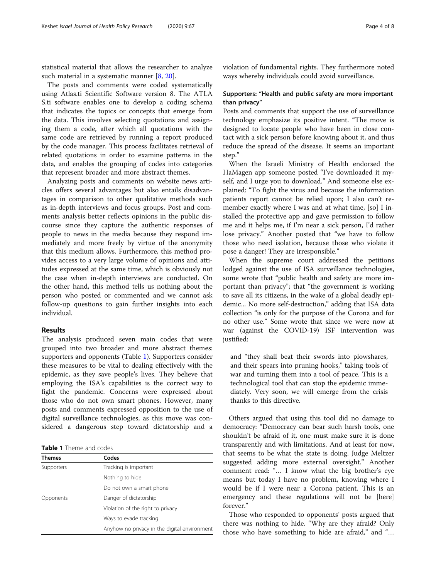statistical material that allows the researcher to analyze such material in a systematic manner [[8,](#page-7-0) [20\]](#page-7-0).

The posts and comments were coded systematically using Atlas.ti Scientific Software version 8. The ATLA S.ti software enables one to develop a coding schema that indicates the topics or concepts that emerge from the data. This involves selecting quotations and assigning them a code, after which all quotations with the same code are retrieved by running a report produced by the code manager. This process facilitates retrieval of related quotations in order to examine patterns in the data, and enables the grouping of codes into categories that represent broader and more abstract themes.

Analyzing posts and comments on website news articles offers several advantages but also entails disadvantages in comparison to other qualitative methods such as in-depth interviews and focus groups. Post and comments analysis better reflects opinions in the public discourse since they capture the authentic responses of people to news in the media because they respond immediately and more freely by virtue of the anonymity that this medium allows. Furthermore, this method provides access to a very large volume of opinions and attitudes expressed at the same time, which is obviously not the case when in-depth interviews are conducted. On the other hand, this method tells us nothing about the person who posted or commented and we cannot ask follow-up questions to gain further insights into each individual.

# Results

The analysis produced seven main codes that were grouped into two broader and more abstract themes: supporters and opponents (Table 1). Supporters consider these measures to be vital to dealing effectively with the epidemic, as they save people's lives. They believe that employing the ISA's capabilities is the correct way to fight the pandemic. Concerns were expressed about those who do not own smart phones. However, many posts and comments expressed opposition to the use of digital surveillance technologies, as this move was considered a dangerous step toward dictatorship and a

**Table 1** Theme and codes

| <b>Themes</b> | Codes                                        |
|---------------|----------------------------------------------|
| Supporters    | Tracking is important                        |
|               | Nothing to hide                              |
|               | Do not own a smart phone                     |
| Opponents     | Danger of dictatorship                       |
|               | Violation of the right to privacy            |
|               | Ways to evade tracking                       |
|               | Anyhow no privacy in the digital environment |

violation of fundamental rights. They furthermore noted ways whereby individuals could avoid surveillance.

# Supporters: "Health and public safety are more important than privacy"

Posts and comments that support the use of surveillance technology emphasize its positive intent. "The move is designed to locate people who have been in close contact with a sick person before knowing about it, and thus reduce the spread of the disease. It seems an important step."

When the Israeli Ministry of Health endorsed the HaMagen app someone posted "I've downloaded it myself, and I urge you to download." And someone else explained: "To fight the virus and because the information patients report cannot be relied upon; I also can't remember exactly where I was and at what time, [so] I installed the protective app and gave permission to follow me and it helps me, if I'm near a sick person, I'd rather lose privacy." Another posted that "we have to follow those who need isolation, because those who violate it pose a danger! They are irresponsible."

When the supreme court addressed the petitions lodged against the use of ISA surveillance technologies, some wrote that "public health and safety are more important than privacy"; that "the government is working to save all its citizens, in the wake of a global deadly epidemic... No more self-destruction," adding that ISA data collection "is only for the purpose of the Corona and for no other use." Some wrote that since we were now at war (against the COVID-19) ISF intervention was justified:

and "they shall beat their swords into plowshares, and their spears into pruning hooks," taking tools of war and turning them into a tool of peace. This is a technological tool that can stop the epidemic immediately. Very soon, we will emerge from the crisis thanks to this directive.

Others argued that using this tool did no damage to democracy: "Democracy can bear such harsh tools, one shouldn't be afraid of it, one must make sure it is done transparently and with limitations. And at least for now, that seems to be what the state is doing. Judge Meltzer suggested adding more external oversight." Another comment read: "… I know what the big brother's eye means but today I have no problem, knowing where I would be if I were near a Corona patient. This is an emergency and these regulations will not be [here] forever."

Those who responded to opponents' posts argued that there was nothing to hide. "Why are they afraid? Only those who have something to hide are afraid," and "…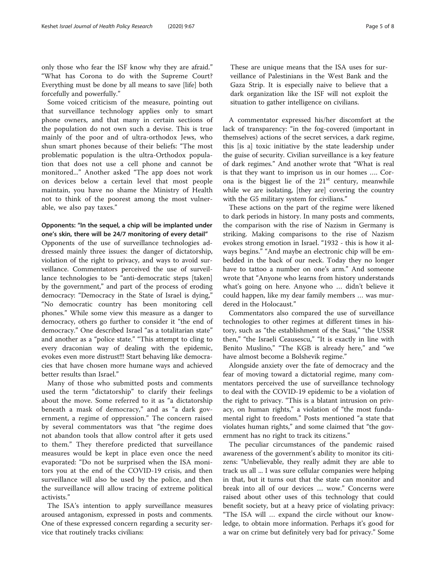only those who fear the ISF know why they are afraid." "What has Corona to do with the Supreme Court? Everything must be done by all means to save [life] both forcefully and powerfully."

Some voiced criticism of the measure, pointing out that surveillance technology applies only to smart phone owners, and that many in certain sections of the population do not own such a devise. This is true mainly of the poor and of ultra-orthodox Jews, who shun smart phones because of their beliefs: "The most problematic population is the ultra-Orthodox population that does not use a cell phone and cannot be monitored..." Another asked "The app does not work on devices below a certain level that most people maintain, you have no shame the Ministry of Health not to think of the poorest among the most vulnerable, we also pay taxes."

# Opponents: "In the sequel, a chip will be implanted under one's skin, there will be 24/7 monitoring of every detail"

Opponents of the use of surveillance technologies addressed mainly three issues: the danger of dictatorship, violation of the right to privacy, and ways to avoid surveillance. Commentators perceived the use of surveillance technologies to be "anti-democratic steps [taken] by the government," and part of the process of eroding democracy: "Democracy in the State of Israel is dying," "No democratic country has been monitoring cell phones." While some view this measure as a danger to democracy, others go further to consider it "the end of democracy." One described Israel "as a totalitarian state" and another as a "police state." "This attempt to cling to every draconian way of dealing with the epidemic, evokes even more distrust!!! Start behaving like democracies that have chosen more humane ways and achieved better results than Israel."

Many of those who submitted posts and comments used the term "dictatorship" to clarify their feelings about the move. Some referred to it as "a dictatorship beneath a mask of democracy," and as "a dark government, a regime of oppression." The concern raised by several commentators was that "the regime does not abandon tools that allow control after it gets used to them." They therefore predicted that surveillance measures would be kept in place even once the need evaporated: "Do not be surprised when the ISA monitors you at the end of the COVID-19 crisis, and then surveillance will also be used by the police, and then the surveillance will allow tracing of extreme political activists."

The ISA's intention to apply surveillance measures aroused antagonism, expressed in posts and comments. One of these expressed concern regarding a security service that routinely tracks civilians:

A commentator expressed his/her discomfort at the lack of transparency: "in the fog-covered (important in themselves) actions of the secret services, a dark regime, this [is a] toxic initiative by the state leadership under the guise of security. Civilian surveillance is a key feature of dark regimes." And another wrote that "What is real is that they want to imprison us in our homes …. Corona is the biggest lie of the  $21<sup>st</sup>$  century, meanwhile while we are isolating, [they are] covering the country with the G5 military system for civilians."

These actions on the part of the regime were likened to dark periods in history. In many posts and comments, the comparison with the rise of Nazism in Germany is striking. Making comparisons to the rise of Nazism evokes strong emotion in Israel. "1932 - this is how it always begins." "And maybe an electronic chip will be embedded in the back of our neck. Today they no longer have to tattoo a number on one's arm." And someone wrote that "Anyone who learns from history understands what's going on here. Anyone who … didn't believe it could happen, like my dear family members … was murdered in the Holocaust."

Commentators also compared the use of surveillance technologies to other regimes at different times in history, such as "the establishment of the Stasi," "the USSR then," "the Israeli Ceausescu," "It is exactly in line with Benito Muslino," "The KGB is already here," and "we have almost become a Bolshevik regime."

Alongside anxiety over the fate of democracy and the fear of moving toward a dictatorial regime, many commentators perceived the use of surveillance technology to deal with the COVID-19 epidemic to be a violation of the right to privacy. "This is a blatant intrusion on privacy, on human rights," a violation of "the most fundamental right to freedom." Posts mentioned "a state that violates human rights," and some claimed that "the government has no right to track its citizens."

The peculiar circumstances of the pandemic raised awareness of the government's ability to monitor its citizens: "Unbelievable, they really admit they are able to track us all ... I was sure cellular companies were helping in that, but it turns out that the state can monitor and break into all of our devices .... wow." Concerns were raised about other uses of this technology that could benefit society, but at a heavy price of violating privacy: "The ISA will … expand the circle without our knowledge, to obtain more information. Perhaps it's good for a war on crime but definitely very bad for privacy." Some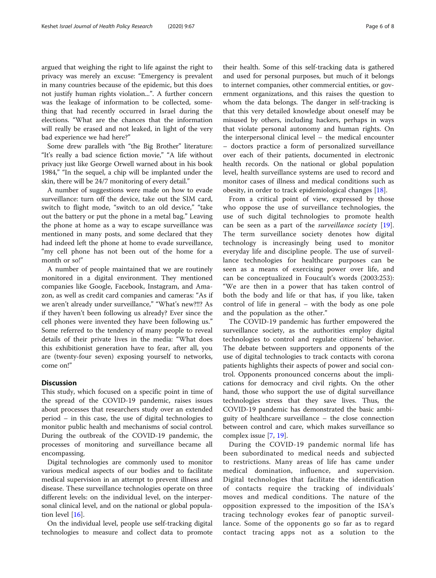argued that weighing the right to life against the right to privacy was merely an excuse: "Emergency is prevalent in many countries because of the epidemic, but this does not justify human rights violation...". A further concern was the leakage of information to be collected, something that had recently occurred in Israel during the elections. "What are the chances that the information will really be erased and not leaked, in light of the very bad experience we had here?"

Some drew parallels with "the Big Brother" literature: "It's really a bad science fiction movie," "A life without privacy just like George Orwell warned about in his book 1984," "In the sequel, a chip will be implanted under the skin, there will be 24/7 monitoring of every detail."

A number of suggestions were made on how to evade surveillance: turn off the device, take out the SIM card, switch to flight mode, "switch to an old device," "take out the battery or put the phone in a metal bag." Leaving the phone at home as a way to escape surveillance was mentioned in many posts, and some declared that they had indeed left the phone at home to evade surveillance, "my cell phone has not been out of the home for a month or so!"

A number of people maintained that we are routinely monitored in a digital environment. They mentioned companies like Google, Facebook, Instagram, and Amazon, as well as credit card companies and cameras: "As if we aren't already under surveillance," "What's new?!!? As if they haven't been following us already? Ever since the cell phones were invented they have been following us." Some referred to the tendency of many people to reveal details of their private lives in the media: "What does this exhibitionist generation have to fear, after all, you are (twenty-four seven) exposing yourself to networks, come on!"

# **Discussion**

This study, which focused on a specific point in time of the spread of the COVID-19 pandemic, raises issues about processes that researchers study over an extended period – in this case, the use of digital technologies to monitor public health and mechanisms of social control. During the outbreak of the COVID-19 pandemic, the processes of monitoring and surveillance became all encompassing.

Digital technologies are commonly used to monitor various medical aspects of our bodies and to facilitate medical supervision in an attempt to prevent illness and disease. These surveillance technologies operate on three different levels: on the individual level, on the interpersonal clinical level, and on the national or global population level [\[16](#page-7-0)].

On the individual level, people use self-tracking digital technologies to measure and collect data to promote

their health. Some of this self-tracking data is gathered and used for personal purposes, but much of it belongs to internet companies, other commercial entities, or government organizations, and this raises the question to whom the data belongs. The danger in self-tracking is that this very detailed knowledge about oneself may be misused by others, including hackers, perhaps in ways that violate personal autonomy and human rights. On the interpersonal clinical level – the medical encounter – doctors practice a form of personalized surveillance over each of their patients, documented in electronic health records. On the national or global population level, health surveillance systems are used to record and monitor cases of illness and medical conditions such as obesity, in order to track epidemiological changes [\[18](#page-7-0)].

From a critical point of view, expressed by those who oppose the use of surveillance technologies, the use of such digital technologies to promote health can be seen as a part of the surveillance society [\[19](#page-7-0)]. The term surveillance society denotes how digital technology is increasingly being used to monitor everyday life and discipline people. The use of surveillance technologies for healthcare purposes can be seen as a means of exercising power over life, and can be conceptualized in Foucault's words (2003:253): "We are then in a power that has taken control of both the body and life or that has, if you like, taken control of life in general – with the body as one pole and the population as the other."

The COVID-19 pandemic has further empowered the surveillance society, as the authorities employ digital technologies to control and regulate citizens' behavior. The debate between supporters and opponents of the use of digital technologies to track contacts with corona patients highlights their aspects of power and social control. Opponents pronounced concerns about the implications for democracy and civil rights. On the other hand, those who support the use of digital surveillance technologies stress that they save lives. Thus, the COVID-19 pandemic has demonstrated the basic ambiguity of healthcare surveillance – the close connection between control and care, which makes surveillance so complex issue [\[7](#page-7-0), [19](#page-7-0)].

During the COVID-19 pandemic normal life has been subordinated to medical needs and subjected to restrictions. Many areas of life has came under medical domination, influence, and supervision. Digital technologies that facilitate the identification of contacts require the tracking of individuals' moves and medical conditions. The nature of the opposition expressed to the imposition of the ISA's tracing technology evokes fear of panoptic surveillance. Some of the opponents go so far as to regard contact tracing apps not as a solution to the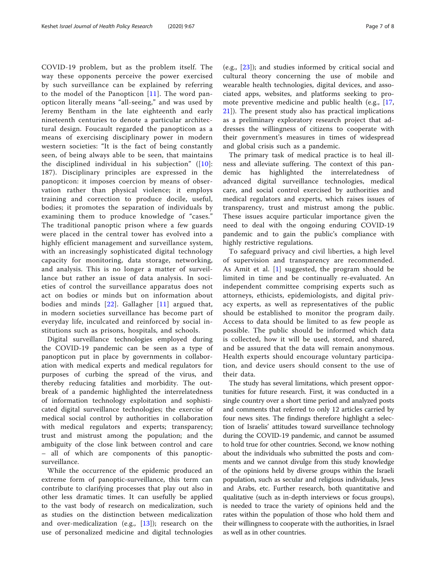COVID-19 problem, but as the problem itself. The way these opponents perceive the power exercised by such surveillance can be explained by referring to the model of the Panopticon [[11](#page-7-0)]. The word panopticon literally means "all-seeing," and was used by Jeremy Bentham in the late eighteenth and early nineteenth centuries to denote a particular architectural design. Foucault regarded the panopticon as a means of exercising disciplinary power in modern western societies: "It is the fact of being constantly seen, of being always able to be seen, that maintains the disciplined individual in his subjection"  $([10]$  $([10]$ : 187). Disciplinary principles are expressed in the panopticon: it imposes coercion by means of observation rather than physical violence; it employs training and correction to produce docile, useful, bodies; it promotes the separation of individuals by examining them to produce knowledge of "cases." The traditional panoptic prison where a few guards were placed in the central tower has evolved into a highly efficient management and surveillance system, with an increasingly sophisticated digital technology capacity for monitoring, data storage, networking, and analysis. This is no longer a matter of surveillance but rather an issue of data analysis. In societies of control the surveillance apparatus does not act on bodies or minds but on information about bodies and minds  $[22]$  $[22]$  $[22]$ . Gallagher  $[11]$  $[11]$  $[11]$  argued that, in modern societies surveillance has become part of everyday life, inculcated and reinforced by social institutions such as prisons, hospitals, and schools.

Digital surveillance technologies employed during the COVID-19 pandemic can be seen as a type of panopticon put in place by governments in collaboration with medical experts and medical regulators for purposes of curbing the spread of the virus, and thereby reducing fatalities and morbidity. The outbreak of a pandemic highlighted the interrelatedness of information technology exploitation and sophisticated digital surveillance technologies; the exercise of medical social control by authorities in collaboration with medical regulators and experts; transparency; trust and mistrust among the population; and the ambiguity of the close link between control and care – all of which are components of this panopticsurveillance.

While the occurrence of the epidemic produced an extreme form of panoptic-surveillance, this term can contribute to clarifying processes that play out also in other less dramatic times. It can usefully be applied to the vast body of research on medicalization, such as studies on the distinction between medicalization and over-medicalization (e.g.,  $[13]$  $[13]$ ); research on the use of personalized medicine and digital technologies

(e.g., [\[23](#page-7-0)]); and studies informed by critical social and cultural theory concerning the use of mobile and wearable health technologies, digital devices, and associated apps, websites, and platforms seeking to promote preventive medicine and public health (e.g., [\[17](#page-7-0), [21\]](#page-7-0)). The present study also has practical implications as a preliminary exploratory research project that addresses the willingness of citizens to cooperate with their government's measures in times of widespread and global crisis such as a pandemic.

The primary task of medical practice is to heal illness and alleviate suffering. The context of this pandemic has highlighted the interrelatedness of advanced digital surveillance technologies, medical care, and social control exercised by authorities and medical regulators and experts, which raises issues of transparency, trust and mistrust among the public. These issues acquire particular importance given the need to deal with the ongoing enduring COVID-19 pandemic and to gain the public's compliance with highly restrictive regulations.

To safeguard privacy and civil liberties, a high level of supervision and transparency are recommended. As Amit et al.  $\begin{bmatrix} 1 \end{bmatrix}$  suggested, the program should be limited in time and be continually re-evaluated. An independent committee comprising experts such as attorneys, ethicists, epidemiologists, and digital privacy experts, as well as representatives of the public should be established to monitor the program daily. Access to data should be limited to as few people as possible. The public should be informed which data is collected, how it will be used, stored, and shared, and be assured that the data will remain anonymous. Health experts should encourage voluntary participation, and device users should consent to the use of their data.

The study has several limitations, which present opportunities for future research. First, it was conducted in a single country over a short time period and analyzed posts and comments that referred to only 12 articles carried by four news sites. The findings therefore highlight a selection of Israelis' attitudes toward surveillance technology during the COVID-19 pandemic, and cannot be assumed to hold true for other countries. Second, we know nothing about the individuals who submitted the posts and comments and we cannot divulge from this study knowledge of the opinions held by diverse groups within the Israeli population, such as secular and religious individuals, Jews and Arabs, etc. Further research, both quantitative and qualitative (such as in-depth interviews or focus groups), is needed to trace the variety of opinions held and the rates within the population of those who hold them and their willingness to cooperate with the authorities, in Israel as well as in other countries.